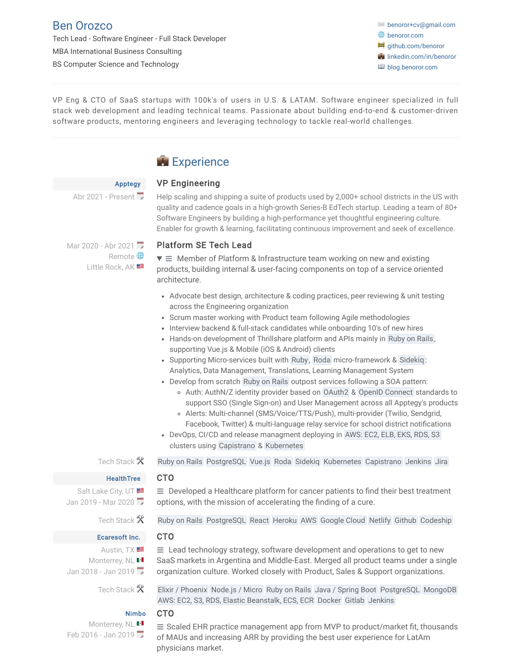## [Ben Orozco](http://cv.benoror.com/)

Tech Lead - Software Engineer - Full Stack Developer MBA International Business Consulting BS Computer Science and Technology

✉️ [benoror+cv@gmail.com](mailto:benoror+cv@gmail.com) **<sup>⊕</sup>** [benoror.com](http://www.benoror.com/) **₩** [github.com/benoror](https://github.com/benoror) **i**[linkedin.com/in/benoror](http://linkedin.com/in/benoror) **[blog.benoror.com](http://blog.benoror.com/)** 

VP Eng & CTO of SaaS startups with 100k's of users in U.S. & LATAM. Software engineer specialized in full stack web development and leading technical teams. Passionate about building end-to-end & customer-driven software products, mentoring engineers and leveraging technology to tackle real-world challenges.

## **Experience**

### VP Engineering

Abr 2021 - Present

[Apptegy](https://www.apptegy.com/)

Help scaling and shipping a suite of products used by 2,000+ school districts in the US with quality and cadence goals in a high-growth Series-B EdTech startup. Leading a team of 80+ Software Engineers by building a high-performance yet thoughtful engineering culture. Enabler for growth & learning, facilitating continuous improvement and seek of excellence.

Mar 2020 - Abr 2021 Remote **D** Little Rock, AK

### Platform SE Tech Lead

 $\overline{\bullet} \equiv$  Member of Platform & Infrastructure team working on new and existing products, building internal & user-facing components on top of a service oriented architecture.

- Advocate best design, architecture & coding practices, peer reviewing & unit testing across the Engineering organization
- Scrum master working with Product team following Agile methodologies
- Interview backend & full-stack candidates while onboarding 10's of new hires
- Hands-on development of Thrillshare platform and APIs mainly in Ruby on Rails, supporting Vue.js & Mobile (iOS & Android) clients
- Supporting Micro-services built with Ruby , Roda micro-framework & Sidekiq : Analytics, Data Management, Translations, Learning Management System
- Develop from scratch Ruby on Rails outpost services following a SOA pattern:
	- Auth: AuthN/Z identity provider based on OAuth2 & OpenID Connect standards to support SSO (Single Sign-on) and User Management across all Apptegy's products
	- Alerts: Multi-channel (SMS/Voice/TTS/Push), multi-provider (Twilio, Sendgrid, Facebook, Twitter) & multi-language relay service for school district notifications
- DevOps, CI/CD and release managment deploying in AWS: EC2, ELB, EKS, RDS, S3 clusters using Capistrano & Kubernetes

Salt Lake City, UT Jan 2019 - Mar 2020

## Tech Stack  $\mathcal K$  Ruby on Rails PostgreSQL Vue.js Roda Sidekig Kubernetes Capistrano Jenkins Jira

#### **[HealthTree](https://www.healthtree.org/)** CTO

options, with the mission of accelerating the finding of a cure.

[Ecaresoft](http://www.ecaresoft.com/) Inc.

Austin, TX Jan 2018 - Jan 2019

 $\equiv$  Developed a Healthcare platform for cancer patients to find their best treatment

Tech Stack  $\mathcal K$  Ruby on Rails PostgreSQL React Heroku AWS Google Cloud Netlify Github Codeship

### CTO

Monterrey, NL **PI** 

 $\equiv$  Lead technology strategy, software development and operations to get to new SaaS markets in Argentina and Middle-East. Merged all product teams under a single organization culture. Worked closely with Product, Sales & Support organizations.

Tech Stack  $X$  Elixir / Phoenix Node.js / Micro Ruby on Rails Java / Spring Boot PostgreSQL MongoDB AWS: EC2, S3, RDS, Elastic Beanstalk, ECS, ECR Docker Gitlab Jenkins

#### [Nimbo](http://www.nimbo-x.com/) CTO

Monterrey, NL **El** Feb 2016 - Jan 2019

 $\equiv$  Scaled EHR practice management app from MVP to product/market fit, thousands of MAUs and increasing ARR by providing the best user experience for LatAm physicians market.